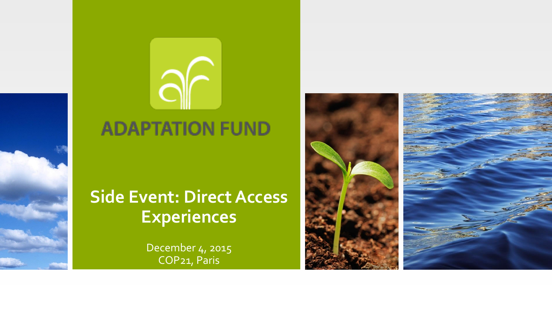



## **ADAPTATION FUND**

## **Side Event: Direct Access Experiences**

December 4, 2015 COP21, Paris

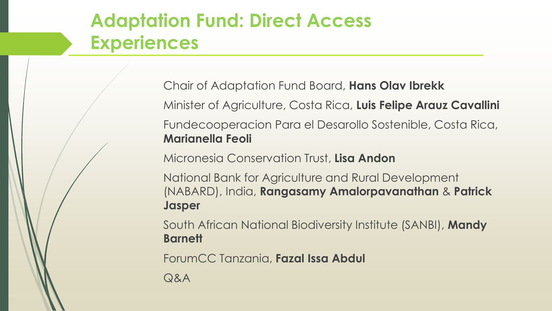# **Adaptation Fund: Direct Access Experiences**

Chair of Adaptation Fund Board, **Hans Olav Ibrekk** Minister of Agriculture, Costa Rica, **Luis Felipe Arauz Cavallini** Fundecooperacion Para el Desarollo Sostenible, Costa Rica, **Marianella Feoli**

Micronesia Conservation Trust, **Lisa Andon**

National Bank for Agriculture and Rural Development (NABARD), India, **Rangasamy Amalorpavanathan** & **Patrick Jasper**

South African National Biodiversity Institute (SANBI), **Mandy Barnett**

ForumCC Tanzania, **Fazal Issa Abdul**

Q&A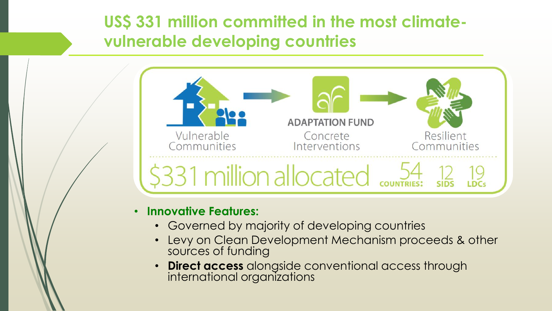**US\$ 331 million committed in the most climatevulnerable developing countries** 



#### • **Innovative Features:**

- Governed by majority of developing countries
- Levy on Clean Development Mechanism proceeds & other sources of funding
- **Direct access** alongside conventional access through international organizations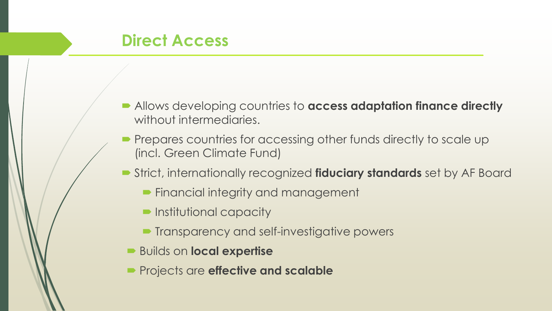- Allows developing countries to **access adaptation finance directly**  without intermediaries.
- Prepares countries for accessing other funds directly to scale up (incl. Green Climate Fund)
- Strict, internationally recognized **fiduciary standards** set by AF Board
	- **Financial integrity and management**
	- **Institutional capacity**
	- **Transparency and self-investigative powers**
	- Builds on **local expertise**
	- **Projects are effective and scalable**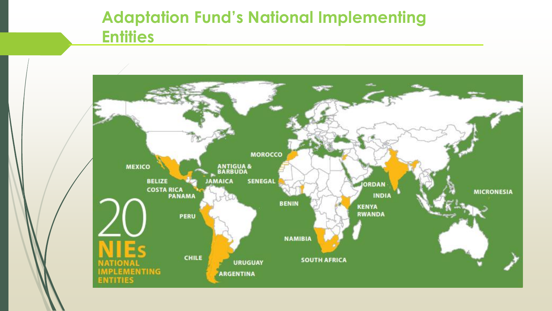### **Adaptation Fund's National Implementing Entities**

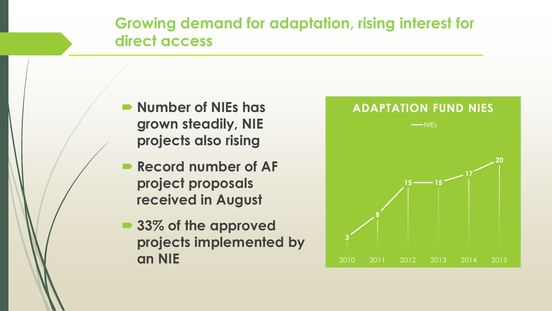**Growing demand for adaptation, rising interest for direct access**

- **Number of NIEs has grown steadily, NIE projects also rising**
- **Record number of AF project proposals received in August**
- 33% of the approved **projects implemented by an NIE**

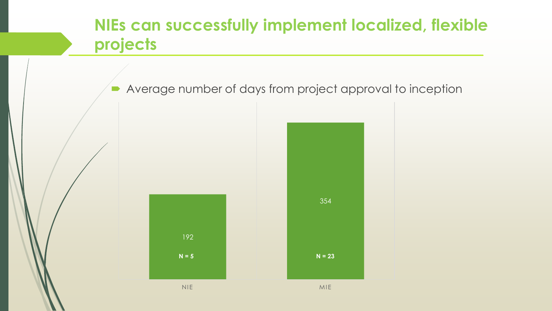### **NIEs can successfully implement localized, flexible projects**

Average number of days from project approval to inception



192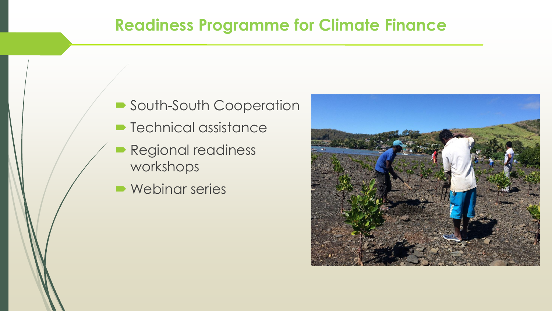### **Readiness Programme for Climate Finance**

- South-South Cooperation
- **Technical assistance**
- **Regional readiness** workshops
- **Webinar series**